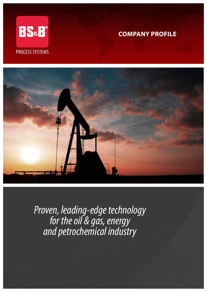

# **COMPANY PROFILE**



*Proven, leading-edge technology for the oil & gas, energy and petrochemical industry*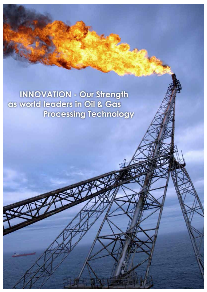**INNOVATION - Our Strength** as world leaders in Oil & Gas **Processing Technology**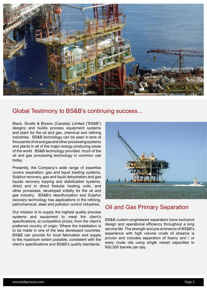

## Global Testimony to BS&B's continuing success...

Black, Sivalls & Bryson (Canada) Limited ("BS&B") designs and builds process equipment systems and plant for the oil and gas, chemical and refining industries. BS&B technology can be seen in tens of thousands of oil and gas and other processing systems and plants in all of the major energy producing areas of the world. BS&B technology provided much of the oil and gas processing technology in common use today.

Presently, the Company's wide range of expertise covers separation, gas and liquid treating systems, Sulphur recovery, gas and liquid dehydration and gas liquids recovery topping and stabilization systems, direct and in direct firetube heating units, and other processes, developed initially for the oil and gas industry. BS&B's desulfurization and Sulphur recovery technology has applications in the refining, petrochemical, steel and pollution control industries.

Our mission is to supply the highest quality process systems and equipment to meet the client's specifications, at competitive prices, from the client's preferred country of origin. Where the installation is to be made in one of the less developed countries, BS&B can provide for local fabrication and supply to the maximum extent possible, consistent with the client's specifications and BS&B's quality standards.



## Oil and Gas Primary Separation

BS&B custom-engineered separators have exclusive design and operational efficiency throughout a long service life. The strength and pre-eminence of BS&B's experience with high volume crude oil streams is proven and includes separation of foamy and / or waxy crude oils using single vessel capacities to 600,000 barrels per day.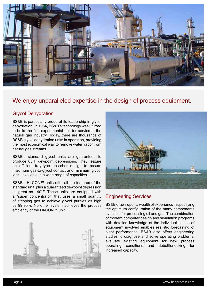

## We enjoy unparalleled expertise in the design of process equipment.

### Glycol Dehydration

BS&B is particularly proud of its leadership in glycol dehydration. In 1964, BS&B's technology was utilized to build the first experimental unit for service in the natural gas industry. Today, there are thousands of BS&B glycol dehydration units in operation, providing the most economical way to remove water vapor from natural gas streams.

BS&B's standard glycol units are guaranteed to produce 65˚F dewpoint depressions. They feature an efficient tray-type absorber design to assure maximum gas-to-glycol contact and minimum glycol loss, available in a wide range of capacities.

BS&B's HI-CON™ units offer all the features of the standard unit, plus a guaranteed dewpoint depression as great as 140˚F. These units are equipped with a "super concentrator" that uses a small quantity of stripping gas to achieve glycol purities as high as 99.95%. No other system achieves the process efficiency of the HI-CON™ unit.





### Engineering Services

BS&B draws upon a wealth of experience in specifying the optimum configuration of the many components available for processing oil and gas. The combination of modern computer design and simulation programs with detailed knowledge of the individual pieces of equipment involved enables realistic forecasting of plant performance. BS&B also offers engineering studies to diagnose and solve operating problems, evaluate existing equipment for new process operating conditions and debottlenecking for increased capacity.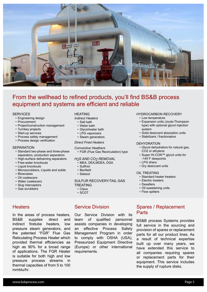

## From the wellhead to refined products, you'll find BS&B process equipment and systems are efficient and reliable

#### **SERVICES**

- Engineering design
- Procurement
- Project/construction management
- Turnkey projects
- Start-up services
- Process safety management
- Process design verification

#### **SEPARATION**

- Standard two-phase and three-phase separators, production separators
- High-surface defoaming separators
- Free-water knockouts
- Liquid knockouts
- Microscrubbers, Liquids and solids
- Blowcases
- Oil coalescers
- Water coalescers
- Slug interceptors
- Gas scrubbers

### **Heaters**

In the areas of process heaters, BS&B supplies direct and indirect firetube heaters, low pressure steam generators, and the patented "FGR" Flue Gas Reticulating Process Heater which provided thermal efficiencies as high as 90% for a broad range of applications. The FGR Heater is suitable for both high and low pressure process streams in thermal capacities of from 5 to 100 mmbtu/hr.

### **HEATING**

- *Indirect Heaters* 
	- Salt bath
	- Water bath
	- Glycol/water bath
	- LPG vaporizers
	- Steam generators

#### *Direct Fired Heaters*

*Convective Heathers* • FGR (Flue Gas Recirculation) type

#### *H2S AND CO2 REMOVAL*

- MEA, DEA,MDEA, DGA • Sulfinol
- 
- Benfield
- Selexol

#### SULFUR RECOVERY/TAIL GAS TREATING

- Claus
- SCOT

### Service Division

Our Service Division with its team of qualified personnel assists companies in developing an effective Process Safety Management Program in order to comply with OSHA (USA), Pressurized Equipment Directive (Europe) or other international requirements.

#### HYDROCARBON RECOVERY

- Low temperature
- Expansion units (Joule-Thompson type) with optional glycol injection system
- Solid desiccant absorption units
- Stabilizers / fractionators

#### DEHYDRATION

- Glycol dehydrators for natural gas, CO2 or ethylene
- Super HI-CON™ glycol units for -145˚F dewpoints
- LPG driers
- Dry desiccant units

#### OIL TREATING

- Standard heater treaters
- Electric treaters
- Desalters
- Oil sweetening units
- Flow spitters

### Spares / Replacement **Parts**

BS&B process Systems provides full service in the sourcing and provision of spares or replacement parts for all our product lines. As a result of technical expertise built up over many years, we have extended this service to all companies requiring spares or replacement parts for their equipment. This service includes the supply of rupture disks.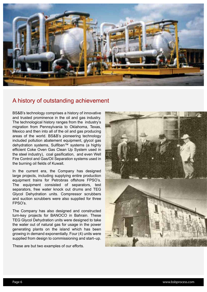

## A history of outstanding achievement

BS&B's technology comprises a history of innovative and trusted prominence in the oil and gas industry. The technological history ranges from the industry's migration from Pennsylvania to Oklahoma, Texas, Mexico and then into all of the oil and gas producing areas of the world. BS&B's pioneering technology included pollution abatement equipment, glycol gas dehydration systems, Sulfiban™ systems (a highly efficient Coke Oven Gas Clean Up System used in the steel industry), coal gasification, and even Well Fire Control and Gas/Oil Separation systems used in the burning oil fields of Kuwait.

In the current era, the Company has designed large projects, including supplying entire production equipment trains for Petrobras offshore FPSO's. The equipment consisted of separators, test separators, free water knock out drums and TEG Glycol Dehydration units. Compressor scrubbers and suction scrubbers were also supplied for three FPSO's.

The Company has also designed and constructed turn-key projects for BANOCO in Bahrain. These TEG Glycol Dehydration units were designed to take the water out of natural gas for usage in the power generating plants on the island which has been growing in demand exponentially. Four (4) units were supplied from design to commissioning and start–up.

These are but two examples of our efforts.

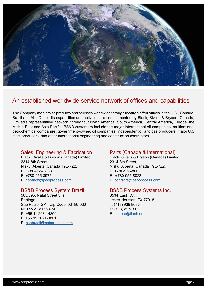

## An established worldwide service network of offices and capabilities

The Company markets its products and services worldwide through locally staffed offices in the U.S., Canada, Brazil and Abu Dhabi. Its capabilities and activities are complemented by Black, Sivalls & Bryson (Canada) Limited's representative network throughout North America, South America, Central America, Europe, the Middle East and Asia Pacific. BS&B customers include the major international oil companies, multinational petrochemical companies, government–owned oil companies, independent oil and gas producers, major U.S steel producers, and other international engineering and construction contractors.

### Sales, Engineering & Fabrication

Black, Sivalls & Bryson (Canada) Limited 2314-8th Street, Nisku, Alberta, Canada T9E-7Z2, P: +780-955-2888 F: +780-955-3975 E: contacts@bsbprocess.com

### BS&B Process System Brazil

583/595, Natal Street Vila Bertioga, São Paulo, SP – Zip Code: 03186-030 M: +55 21 8138-0242 P: +55 11 2084-4800 F: +55 11 2021-3801 E: bsbbrasil@bsbprocess.com

### Parts (Canada & International)

Black, Sivalls & Bryson (Canada) Limited 2314-8th Street, Nisku, Alberta, Canada T9E-7Z2, P: +780-955-8009 F : +780-955-8028. E: contacts@bsbprocess.com

### BS&B Process Systems Inc.

3534 East T.C. Jester Houston, TX 77018 T: (713) 939 8686 F: (713) 895 9977 E: bsbpro@flash.net